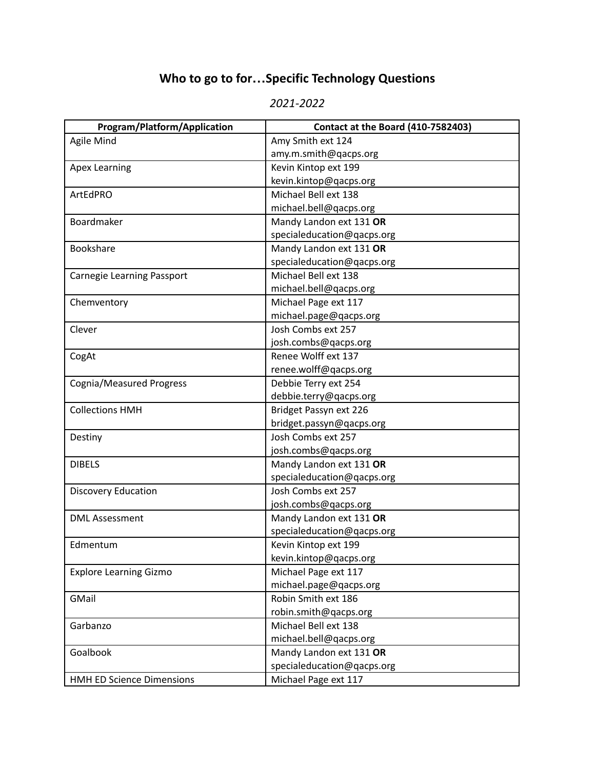## **Who to go to for…Specific Technology Questions**

## *2021-2022*

| <b>Program/Platform/Application</b> | <b>Contact at the Board (410-7582403)</b> |
|-------------------------------------|-------------------------------------------|
| Agile Mind                          | Amy Smith ext 124                         |
|                                     | amy.m.smith@qacps.org                     |
| <b>Apex Learning</b>                | Kevin Kintop ext 199                      |
|                                     | kevin.kintop@qacps.org                    |
| ArtEdPRO                            | Michael Bell ext 138                      |
|                                     | michael.bell@qacps.org                    |
| Boardmaker                          | Mandy Landon ext 131 OR                   |
|                                     | specialeducation@qacps.org                |
| <b>Bookshare</b>                    | Mandy Landon ext 131 OR                   |
|                                     | specialeducation@qacps.org                |
| Carnegie Learning Passport          | Michael Bell ext 138                      |
|                                     | michael.bell@qacps.org                    |
| Chemventory                         | Michael Page ext 117                      |
|                                     | michael.page@qacps.org                    |
| Clever                              | Josh Combs ext 257                        |
|                                     | josh.combs@qacps.org                      |
| CogAt                               | Renee Wolff ext 137                       |
|                                     | renee.wolff@qacps.org                     |
| <b>Cognia/Measured Progress</b>     | Debbie Terry ext 254                      |
|                                     | debbie.terry@qacps.org                    |
| <b>Collections HMH</b>              | Bridget Passyn ext 226                    |
|                                     | bridget.passyn@qacps.org                  |
| Destiny                             | Josh Combs ext 257                        |
|                                     | josh.combs@qacps.org                      |
| <b>DIBELS</b>                       | Mandy Landon ext 131 OR                   |
|                                     | specialeducation@qacps.org                |
| <b>Discovery Education</b>          | Josh Combs ext 257                        |
|                                     | josh.combs@qacps.org                      |
| <b>DML Assessment</b>               | Mandy Landon ext 131 OR                   |
|                                     | specialeducation@qacps.org                |
| Edmentum                            | Kevin Kintop ext 199                      |
|                                     | kevin.kintop@qacps.org                    |
| <b>Explore Learning Gizmo</b>       | Michael Page ext 117                      |
|                                     | michael.page@qacps.org                    |
| GMail                               | Robin Smith ext 186                       |
|                                     | robin.smith@qacps.org                     |
| Garbanzo                            | Michael Bell ext 138                      |
|                                     | michael.bell@qacps.org                    |
| Goalbook                            | Mandy Landon ext 131 OR                   |
|                                     | specialeducation@qacps.org                |
| HMH ED Science Dimensions           | Michael Page ext 117                      |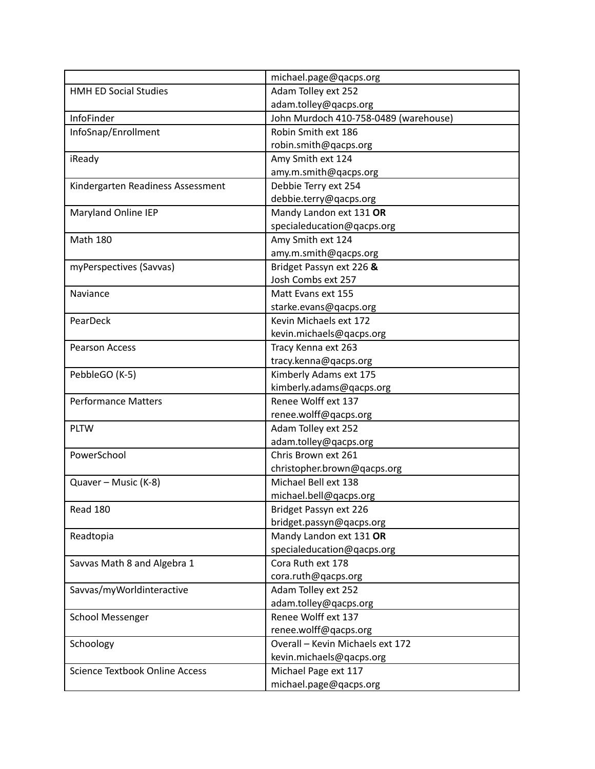|                                       | michael.page@qacps.org                |
|---------------------------------------|---------------------------------------|
| <b>HMH ED Social Studies</b>          | Adam Tolley ext 252                   |
|                                       | adam.tolley@qacps.org                 |
| <b>InfoFinder</b>                     | John Murdoch 410-758-0489 (warehouse) |
| InfoSnap/Enrollment                   | Robin Smith ext 186                   |
|                                       | robin.smith@qacps.org                 |
| iReady                                | Amy Smith ext 124                     |
|                                       | amy.m.smith@qacps.org                 |
| Kindergarten Readiness Assessment     | Debbie Terry ext 254                  |
|                                       | debbie.terry@qacps.org                |
| Maryland Online IEP                   | Mandy Landon ext 131 OR               |
|                                       | specialeducation@qacps.org            |
| <b>Math 180</b>                       | Amy Smith ext 124                     |
|                                       | amy.m.smith@qacps.org                 |
| myPerspectives (Savvas)               | Bridget Passyn ext 226 &              |
|                                       | Josh Combs ext 257                    |
| Naviance                              | Matt Evans ext 155                    |
|                                       | starke.evans@qacps.org                |
| PearDeck                              | Kevin Michaels ext 172                |
|                                       | kevin.michaels@qacps.org              |
| <b>Pearson Access</b>                 | Tracy Kenna ext 263                   |
|                                       | tracy.kenna@qacps.org                 |
| PebbleGO (K-5)                        | Kimberly Adams ext 175                |
|                                       | kimberly.adams@qacps.org              |
| <b>Performance Matters</b>            | Renee Wolff ext 137                   |
|                                       | renee.wolff@qacps.org                 |
| <b>PLTW</b>                           | Adam Tolley ext 252                   |
|                                       | adam.tolley@qacps.org                 |
| PowerSchool                           | Chris Brown ext 261                   |
|                                       | christopher.brown@qacps.org           |
| Quaver - Music (K-8)                  | Michael Bell ext 138                  |
|                                       | michael.bell@qacps.org                |
| Read 180                              | Bridget Passyn ext 226                |
|                                       | bridget.passyn@qacps.org              |
| Readtopia                             | Mandy Landon ext 131 OR               |
|                                       | specialeducation@qacps.org            |
| Savvas Math 8 and Algebra 1           | Cora Ruth ext 178                     |
|                                       | cora.ruth@qacps.org                   |
| Savvas/myWorldinteractive             | Adam Tolley ext 252                   |
|                                       | adam.tolley@qacps.org                 |
| <b>School Messenger</b>               | Renee Wolff ext 137                   |
|                                       | renee.wolff@qacps.org                 |
| Schoology                             | Overall - Kevin Michaels ext 172      |
|                                       | kevin.michaels@qacps.org              |
| <b>Science Textbook Online Access</b> | Michael Page ext 117                  |
|                                       | michael.page@qacps.org                |